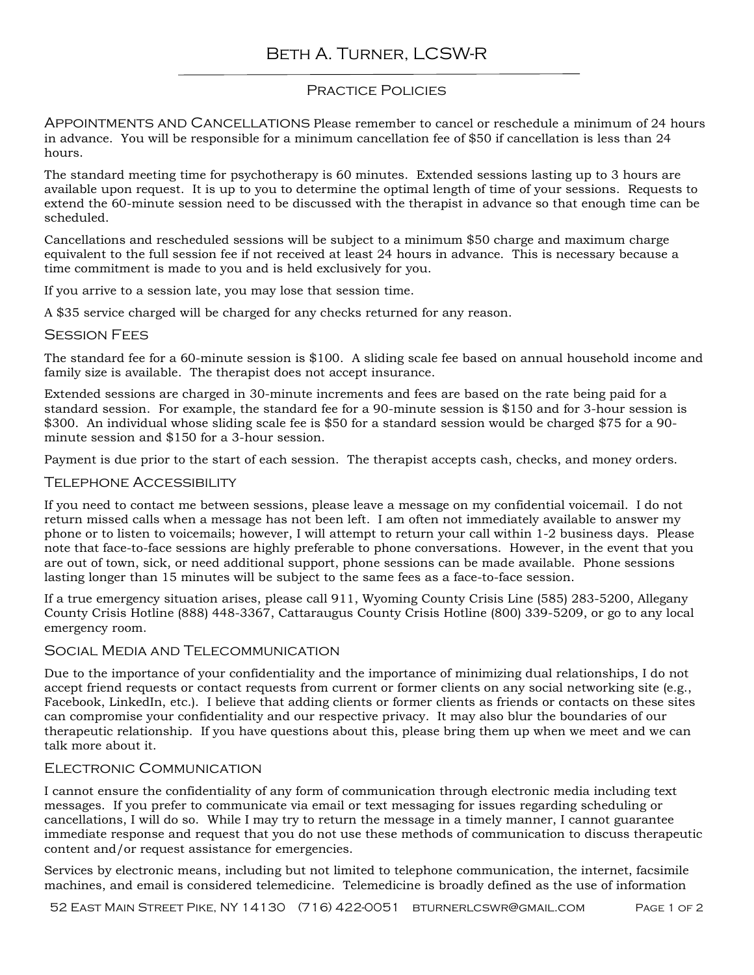# Beth A. Turner, LCSW-R

# Practice Policies

Appointments and Cancellations Please remember to cancel or reschedule a minimum of 24 hours in advance. You will be responsible for a minimum cancellation fee of \$50 if cancellation is less than 24 hours.

The standard meeting time for psychotherapy is 60 minutes. Extended sessions lasting up to 3 hours are available upon request. It is up to you to determine the optimal length of time of your sessions. Requests to extend the 60-minute session need to be discussed with the therapist in advance so that enough time can be scheduled.

Cancellations and rescheduled sessions will be subject to a minimum \$50 charge and maximum charge equivalent to the full session fee if not received at least 24 hours in advance. This is necessary because a time commitment is made to you and is held exclusively for you.

If you arrive to a session late, you may lose that session time.

A \$35 service charged will be charged for any checks returned for any reason.

## **SESSION FEES**

The standard fee for a 60-minute session is \$100. A sliding scale fee based on annual household income and family size is available. The therapist does not accept insurance.

Extended sessions are charged in 30-minute increments and fees are based on the rate being paid for a standard session. For example, the standard fee for a 90-minute session is \$150 and for 3-hour session is \$300. An individual whose sliding scale fee is \$50 for a standard session would be charged \$75 for a 90 minute session and \$150 for a 3-hour session.

Payment is due prior to the start of each session. The therapist accepts cash, checks, and money orders.

## Telephone Accessibility

If you need to contact me between sessions, please leave a message on my confidential voicemail. I do not return missed calls when a message has not been left. I am often not immediately available to answer my phone or to listen to voicemails; however, I will attempt to return your call within 1-2 business days. Please note that face-to-face sessions are highly preferable to phone conversations. However, in the event that you are out of town, sick, or need additional support, phone sessions can be made available. Phone sessions lasting longer than 15 minutes will be subject to the same fees as a face-to-face session.

If a true emergency situation arises, please call 911, Wyoming County Crisis Line (585) 283-5200, Allegany County Crisis Hotline (888) 448-3367, Cattaraugus County Crisis Hotline (800) 339-5209, or go to any local emergency room.

# Social Media and Telecommunication

Due to the importance of your confidentiality and the importance of minimizing dual relationships, I do not accept friend requests or contact requests from current or former clients on any social networking site (e.g., Facebook, LinkedIn, etc.). I believe that adding clients or former clients as friends or contacts on these sites can compromise your confidentiality and our respective privacy. It may also blur the boundaries of our therapeutic relationship. If you have questions about this, please bring them up when we meet and we can talk more about it.

## FI ECTRONIC COMMUNICATION

I cannot ensure the confidentiality of any form of communication through electronic media including text messages. If you prefer to communicate via email or text messaging for issues regarding scheduling or cancellations, I will do so. While I may try to return the message in a timely manner, I cannot guarantee immediate response and request that you do not use these methods of communication to discuss therapeutic content and/or request assistance for emergencies.

Services by electronic means, including but not limited to telephone communication, the internet, facsimile machines, and email is considered telemedicine. Telemedicine is broadly defined as the use of information

52 East Main Street Pike, NY 14130 (716) 422-0051 bturnerlcswr@gmail.com Page 1 of 2